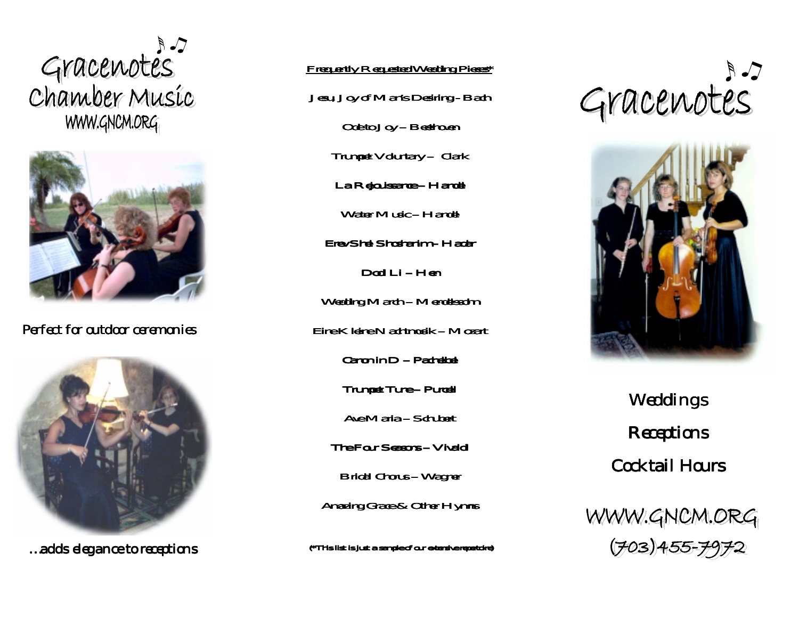



Perfect for outdoor ceremonies



…adds elegance to receptions

## Frequently Requested Wedding Pieces\*

Jesu, Joy of Man's Desiring - Bach

Ode to  $Joy - Beethoven$ 

 $T$ rumpet Voluntary – Clark

La Rejouissance - Handel

Water Music – Handel

Erev Shel Shel Shoshanim – Hadar

Dodi I i – Hen

Wedding March – Mendelssohn

Eine Kleine Eine Nachtmusik – Mozart

Canon in  $D -$  Pachelbel

Trumpet Tune – Purcell

Ave Maria – Schubert

The Four Seasons – Vivaldi

Bridal Chorus - Wagner

Amazing Grace & Other Hymns

(\*This list is just a sample of our extensive repertoire) (\*This list is a of our extensive repertoire)





Weddings **Receptions** Cocktail Hours

WWW.GNOM.ORG  $(703)455 - 7972$